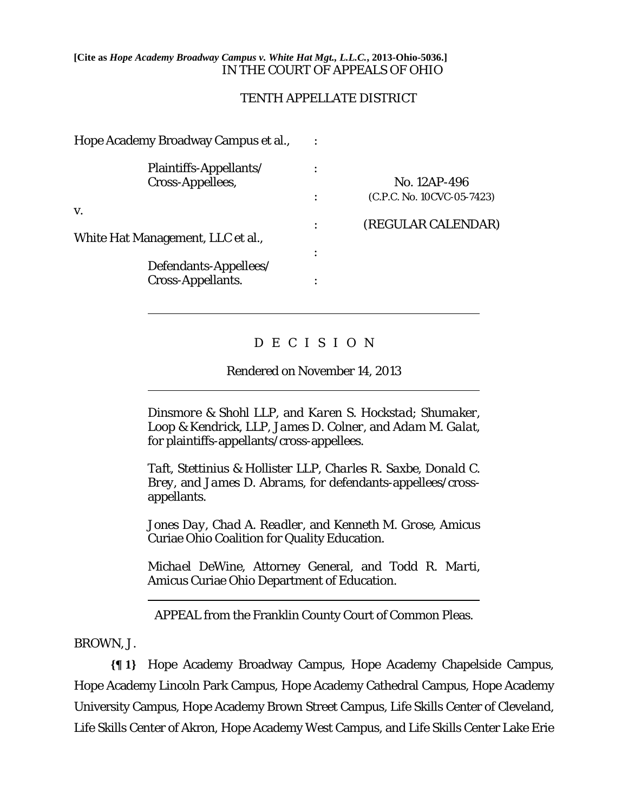### **[Cite as** *Hope Academy Broadway Campus v. White Hat Mgt., L.L.C.***, 2013-Ohio-5036.]** IN THE COURT OF APPEALS OF OHIO

## TENTH APPELLATE DISTRICT

| Hope Academy Broadway Campus et al.,       |                            |
|--------------------------------------------|----------------------------|
| Plaintiffs-Appellants/<br>Cross-Appellees, | No. 12AP-496               |
|                                            | (C.P.C. No. 10CVC-05-7423) |
| V.<br>White Hat Management, LLC et al.,    | (REGULAR CALENDAR)         |
| Defendants-Appellees/                      |                            |
| <b>Cross-Appellants.</b>                   |                            |

# D E C I S I O N

## Rendered on November 14, 2013

*Dinsmore & Shohl LLP*, and *Karen S. Hockstad*; *Shumaker, Loop & Kendrick, LLP*, *James D. Colner*, and *Adam M. Galat*, for plaintiffs-appellants/cross-appellees.

*Taft, Stettinius & Hollister LLP*, *Charles R. Saxbe*, *Donald C. Brey*, and *James D. Abrams*, for defendants-appellees/crossappellants.

*Jones Day*, *Chad A. Readler*, and *Kenneth M. Grose*, Amicus Curiae Ohio Coalition for Quality Education.

*Michael DeWine*, Attorney General, and *Todd R. Marti*, Amicus Curiae Ohio Department of Education.

APPEAL from the Franklin County Court of Common Pleas.

BROWN, J.

 $\overline{a}$ 

 $\overline{a}$ 

 $\overline{a}$ 

**{¶ 1}** Hope Academy Broadway Campus, Hope Academy Chapelside Campus, Hope Academy Lincoln Park Campus, Hope Academy Cathedral Campus, Hope Academy University Campus, Hope Academy Brown Street Campus, Life Skills Center of Cleveland, Life Skills Center of Akron, Hope Academy West Campus, and Life Skills Center Lake Erie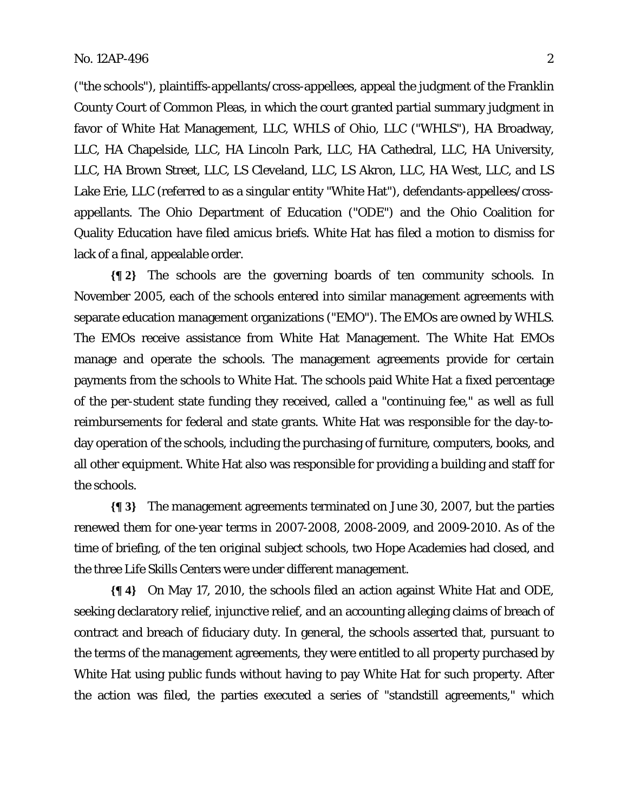("the schools"), plaintiffs-appellants/cross-appellees, appeal the judgment of the Franklin County Court of Common Pleas, in which the court granted partial summary judgment in favor of White Hat Management, LLC, WHLS of Ohio, LLC ("WHLS"), HA Broadway, LLC, HA Chapelside, LLC, HA Lincoln Park, LLC, HA Cathedral, LLC, HA University, LLC, HA Brown Street, LLC, LS Cleveland, LLC, LS Akron, LLC, HA West, LLC, and LS Lake Erie, LLC (referred to as a singular entity "White Hat"), defendants-appellees/crossappellants. The Ohio Department of Education ("ODE") and the Ohio Coalition for Quality Education have filed amicus briefs. White Hat has filed a motion to dismiss for lack of a final, appealable order.

**{¶ 2}** The schools are the governing boards of ten community schools. In November 2005, each of the schools entered into similar management agreements with separate education management organizations ("EMO"). The EMOs are owned by WHLS. The EMOs receive assistance from White Hat Management. The White Hat EMOs manage and operate the schools. The management agreements provide for certain payments from the schools to White Hat. The schools paid White Hat a fixed percentage of the per-student state funding they received, called a "continuing fee," as well as full reimbursements for federal and state grants. White Hat was responsible for the day-today operation of the schools, including the purchasing of furniture, computers, books, and all other equipment. White Hat also was responsible for providing a building and staff for the schools.

**{¶ 3}** The management agreements terminated on June 30, 2007, but the parties renewed them for one-year terms in 2007-2008, 2008-2009, and 2009-2010. As of the time of briefing, of the ten original subject schools, two Hope Academies had closed, and the three Life Skills Centers were under different management.

**{¶ 4}** On May 17, 2010, the schools filed an action against White Hat and ODE, seeking declaratory relief, injunctive relief, and an accounting alleging claims of breach of contract and breach of fiduciary duty. In general, the schools asserted that, pursuant to the terms of the management agreements, they were entitled to all property purchased by White Hat using public funds without having to pay White Hat for such property. After the action was filed, the parties executed a series of "standstill agreements," which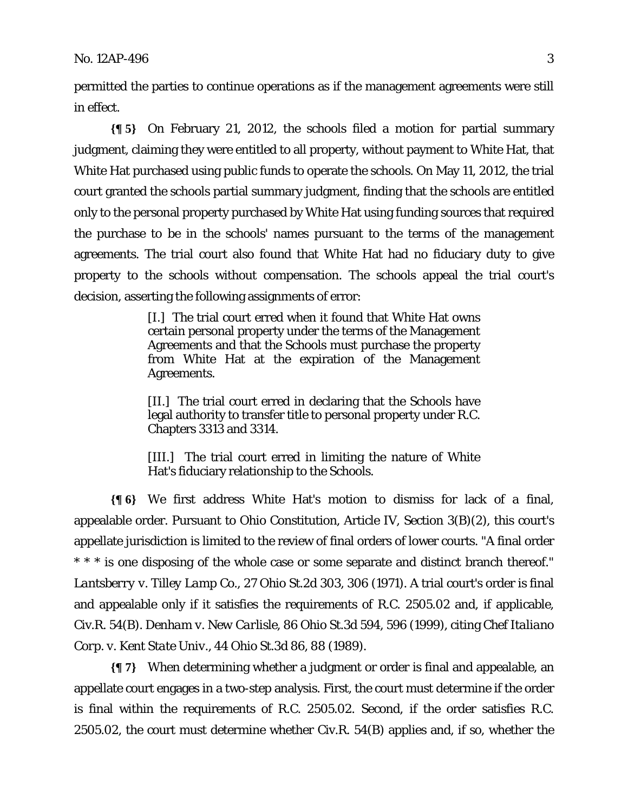permitted the parties to continue operations as if the management agreements were still in effect.

**{¶ 5}** On February 21, 2012, the schools filed a motion for partial summary judgment, claiming they were entitled to all property, without payment to White Hat, that White Hat purchased using public funds to operate the schools. On May 11, 2012, the trial court granted the schools partial summary judgment, finding that the schools are entitled only to the personal property purchased by White Hat using funding sources that required the purchase to be in the schools' names pursuant to the terms of the management agreements. The trial court also found that White Hat had no fiduciary duty to give property to the schools without compensation. The schools appeal the trial court's decision, asserting the following assignments of error:

> [I.] The trial court erred when it found that White Hat owns certain personal property under the terms of the Management Agreements and that the Schools must purchase the property from White Hat at the expiration of the Management Agreements.

> [II.] The trial court erred in declaring that the Schools have legal authority to transfer title to personal property under R.C. Chapters 3313 and 3314.

> [III.] The trial court erred in limiting the nature of White Hat's fiduciary relationship to the Schools.

**{¶ 6}** We first address White Hat's motion to dismiss for lack of a final, appealable order. Pursuant to Ohio Constitution, Article IV, Section 3(B)(2), this court's appellate jurisdiction is limited to the review of final orders of lower courts. "A final order \* \* \* is one disposing of the whole case or some separate and distinct branch thereof." *Lantsberry v. Tilley Lamp Co.*, 27 Ohio St.2d 303, 306 (1971). A trial court's order is final and appealable only if it satisfies the requirements of R.C. 2505.02 and, if applicable, Civ.R. 54(B). *Denham v. New Carlisle*, 86 Ohio St.3d 594, 596 (1999), citing *Chef Italiano Corp. v. Kent State Univ.*, 44 Ohio St.3d 86, 88 (1989).

**{¶ 7}** When determining whether a judgment or order is final and appealable, an appellate court engages in a two-step analysis. First, the court must determine if the order is final within the requirements of R.C. 2505.02. Second, if the order satisfies R.C. 2505.02, the court must determine whether Civ.R. 54(B) applies and, if so, whether the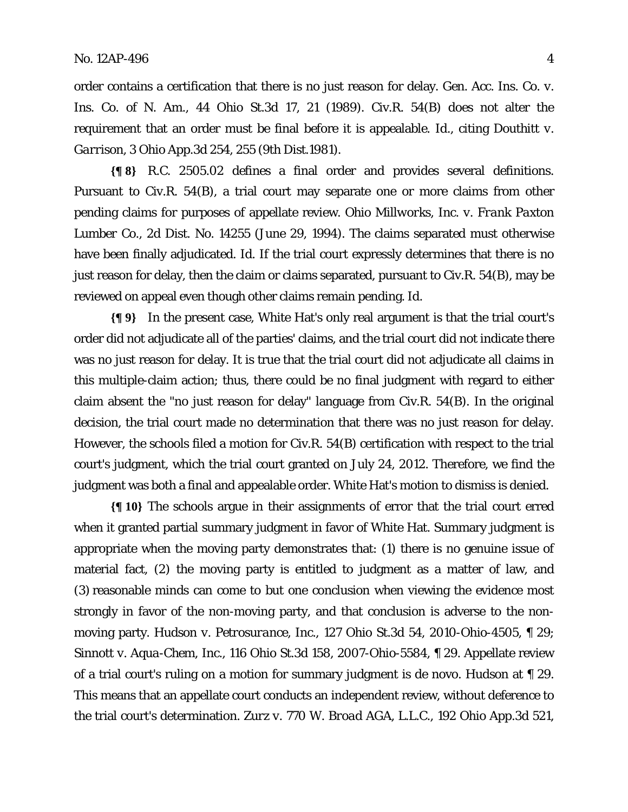order contains a certification that there is no just reason for delay. *Gen. Acc. Ins. Co. v. Ins. Co. of N. Am.*, 44 Ohio St.3d 17, 21 (1989). Civ.R. 54(B) does not alter the requirement that an order must be final before it is appealable. *Id*., citing *Douthitt v. Garrison*, 3 Ohio App.3d 254, 255 (9th Dist.1981).

**{¶ 8}** R.C. 2505.02 defines a final order and provides several definitions. Pursuant to Civ.R. 54(B), a trial court may separate one or more claims from other pending claims for purposes of appellate review. *Ohio Millworks, Inc. v. Frank Paxton Lumber Co.*, 2d Dist. No. 14255 (June 29, 1994). The claims separated must otherwise have been finally adjudicated. *Id*. If the trial court expressly determines that there is no just reason for delay, then the claim or claims separated, pursuant to Civ.R. 54(B), may be reviewed on appeal even though other claims remain pending. *Id*.

**{¶ 9}** In the present case, White Hat's only real argument is that the trial court's order did not adjudicate all of the parties' claims, and the trial court did not indicate there was no just reason for delay. It is true that the trial court did not adjudicate all claims in this multiple-claim action; thus, there could be no final judgment with regard to either claim absent the "no just reason for delay" language from Civ.R. 54(B). In the original decision, the trial court made no determination that there was no just reason for delay. However, the schools filed a motion for Civ.R. 54(B) certification with respect to the trial court's judgment, which the trial court granted on July 24, 2012. Therefore, we find the judgment was both a final and appealable order. White Hat's motion to dismiss is denied.

**{¶ 10}** The schools argue in their assignments of error that the trial court erred when it granted partial summary judgment in favor of White Hat. Summary judgment is appropriate when the moving party demonstrates that: (1) there is no genuine issue of material fact, (2) the moving party is entitled to judgment as a matter of law, and (3) reasonable minds can come to but one conclusion when viewing the evidence most strongly in favor of the non-moving party, and that conclusion is adverse to the nonmoving party. *Hudson v. Petrosurance, Inc.*, 127 Ohio St.3d 54, 2010-Ohio-4505, ¶ 29; *Sinnott v. Aqua-Chem, Inc.*, 116 Ohio St.3d 158, 2007-Ohio-5584, ¶ 29. Appellate review of a trial court's ruling on a motion for summary judgment is de novo. *Hudson* at ¶ 29. This means that an appellate court conducts an independent review, without deference to the trial court's determination. *Zurz v. 770 W. Broad AGA, L.L.C.*, 192 Ohio App.3d 521,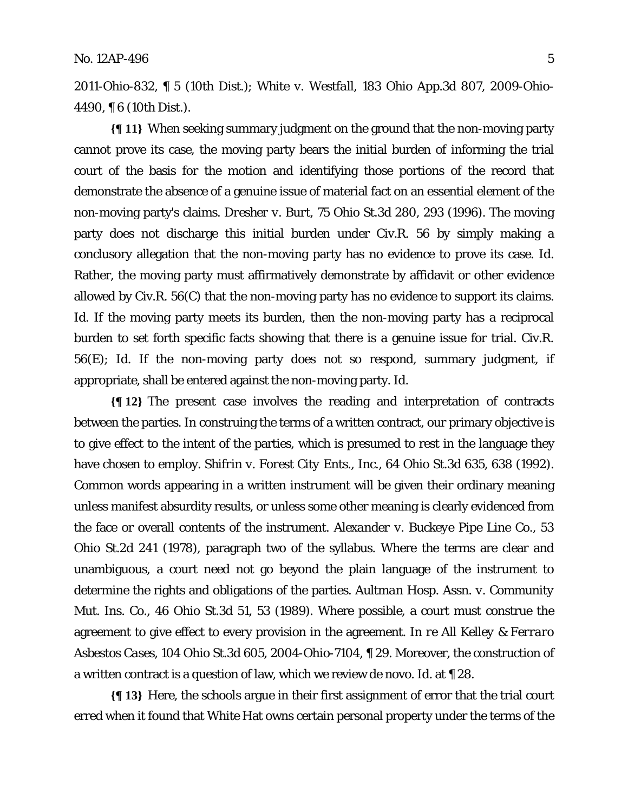2011-Ohio-832, ¶ 5 (10th Dist.); *White v. Westfall*, 183 Ohio App.3d 807, 2009-Ohio-4490, ¶ 6 (10th Dist.).

**{¶ 11}** When seeking summary judgment on the ground that the non-moving party cannot prove its case, the moving party bears the initial burden of informing the trial court of the basis for the motion and identifying those portions of the record that demonstrate the absence of a genuine issue of material fact on an essential element of the non-moving party's claims. *Dresher v. Burt*, 75 Ohio St.3d 280, 293 (1996). The moving party does not discharge this initial burden under Civ.R. 56 by simply making a conclusory allegation that the non-moving party has no evidence to prove its case. *Id*. Rather, the moving party must affirmatively demonstrate by affidavit or other evidence allowed by Civ.R. 56(C) that the non-moving party has no evidence to support its claims. *Id*. If the moving party meets its burden, then the non-moving party has a reciprocal burden to set forth specific facts showing that there is a genuine issue for trial. Civ.R. 56(E); *Id.* If the non-moving party does not so respond, summary judgment, if appropriate, shall be entered against the non-moving party. *Id*.

**{¶ 12}** The present case involves the reading and interpretation of contracts between the parties. In construing the terms of a written contract, our primary objective is to give effect to the intent of the parties, which is presumed to rest in the language they have chosen to employ. *Shifrin v. Forest City Ents., Inc.*, 64 Ohio St.3d 635, 638 (1992). Common words appearing in a written instrument will be given their ordinary meaning unless manifest absurdity results, or unless some other meaning is clearly evidenced from the face or overall contents of the instrument. *Alexander v. Buckeye Pipe Line Co.*, 53 Ohio St.2d 241 (1978), paragraph two of the syllabus. Where the terms are clear and unambiguous, a court need not go beyond the plain language of the instrument to determine the rights and obligations of the parties. *Aultman Hosp. Assn. v. Community Mut. Ins. Co.*, 46 Ohio St.3d 51, 53 (1989). Where possible, a court must construe the agreement to give effect to every provision in the agreement. *In re All Kelley & Ferraro Asbestos Cases*, 104 Ohio St.3d 605, 2004-Ohio-7104, ¶ 29. Moreover, the construction of a written contract is a question of law, which we review de novo. *Id*. at ¶ 28.

**{¶ 13}** Here, the schools argue in their first assignment of error that the trial court erred when it found that White Hat owns certain personal property under the terms of the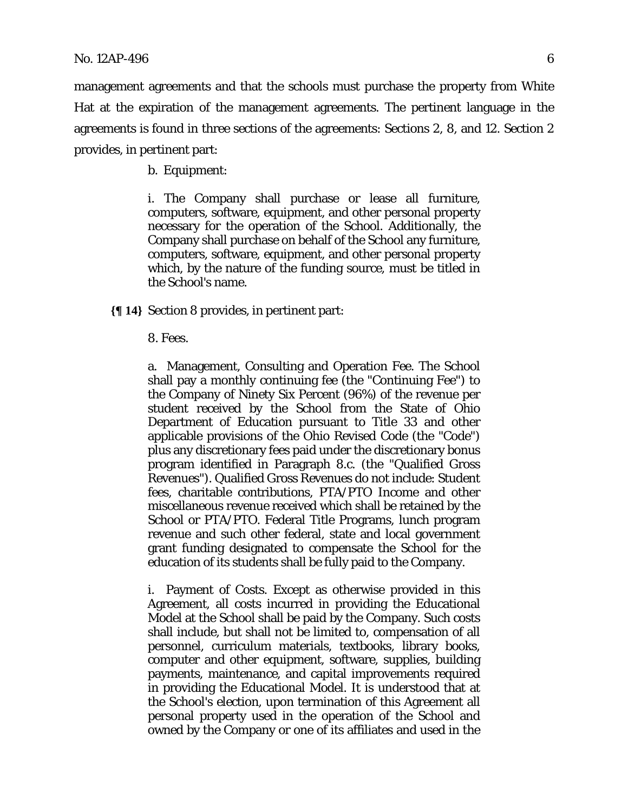management agreements and that the schools must purchase the property from White Hat at the expiration of the management agreements. The pertinent language in the agreements is found in three sections of the agreements: Sections 2, 8, and 12. Section 2 provides, in pertinent part:

b. Equipment:

i. The Company shall purchase or lease all furniture, computers, software, equipment, and other personal property necessary for the operation of the School. Additionally, the Company shall purchase on behalf of the School any furniture, computers, software, equipment, and other personal property which, by the nature of the funding source, must be titled in the School's name.

**{¶ 14}** Section 8 provides, in pertinent part:

#### 8. Fees.

a. Management, Consulting and Operation Fee. The School shall pay a monthly continuing fee (the "Continuing Fee") to the Company of Ninety Six Percent (96%) of the revenue per student received by the School from the State of Ohio Department of Education pursuant to Title 33 and other applicable provisions of the Ohio Revised Code (the "Code") plus any discretionary fees paid under the discretionary bonus program identified in Paragraph 8.c. (the "Qualified Gross Revenues"). Qualified Gross Revenues do not include: Student fees, charitable contributions, PTA/PTO Income and other miscellaneous revenue received which shall be retained by the School or PTA/PTO. Federal Title Programs, lunch program revenue and such other federal, state and local government grant funding designated to compensate the School for the education of its students shall be fully paid to the Company.

i. Payment of Costs. Except as otherwise provided in this Agreement, all costs incurred in providing the Educational Model at the School shall be paid by the Company. Such costs shall include, but shall not be limited to, compensation of all personnel, curriculum materials, textbooks, library books, computer and other equipment, software, supplies, building payments, maintenance, and capital improvements required in providing the Educational Model. It is understood that at the School's election, upon termination of this Agreement all personal property used in the operation of the School and owned by the Company or one of its affiliates and used in the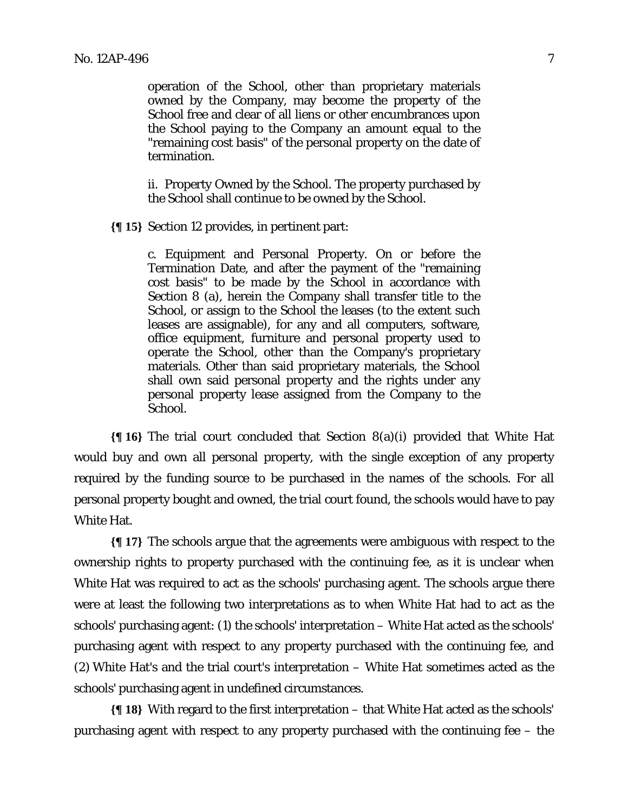operation of the School, other than proprietary materials owned by the Company, may become the property of the School free and clear of all liens or other encumbrances upon the School paying to the Company an amount equal to the "remaining cost basis" of the personal property on the date of termination.

ii. Property Owned by the School. The property purchased by the School shall continue to be owned by the School.

**{¶ 15}** Section 12 provides, in pertinent part:

c. Equipment and Personal Property. On or before the Termination Date, and after the payment of the "remaining cost basis" to be made by the School in accordance with Section 8 (a), herein the Company shall transfer title to the School, or assign to the School the leases (to the extent such leases are assignable), for any and all computers, software, office equipment, furniture and personal property used to operate the School, other than the Company's proprietary materials. Other than said proprietary materials, the School shall own said personal property and the rights under any personal property lease assigned from the Company to the School.

**{¶ 16}** The trial court concluded that Section 8(a)(i) provided that White Hat would buy and own all personal property, with the single exception of any property required by the funding source to be purchased in the names of the schools. For all personal property bought and owned, the trial court found, the schools would have to pay White Hat.

**{¶ 17}** The schools argue that the agreements were ambiguous with respect to the ownership rights to property purchased with the continuing fee, as it is unclear when White Hat was required to act as the schools' purchasing agent. The schools argue there were at least the following two interpretations as to when White Hat had to act as the schools' purchasing agent: (1) the schools' interpretation – White Hat acted as the schools' purchasing agent with respect to any property purchased with the continuing fee, and (2) White Hat's and the trial court's interpretation – White Hat sometimes acted as the schools' purchasing agent in undefined circumstances.

**{¶ 18}** With regard to the first interpretation – that White Hat acted as the schools' purchasing agent with respect to any property purchased with the continuing fee – the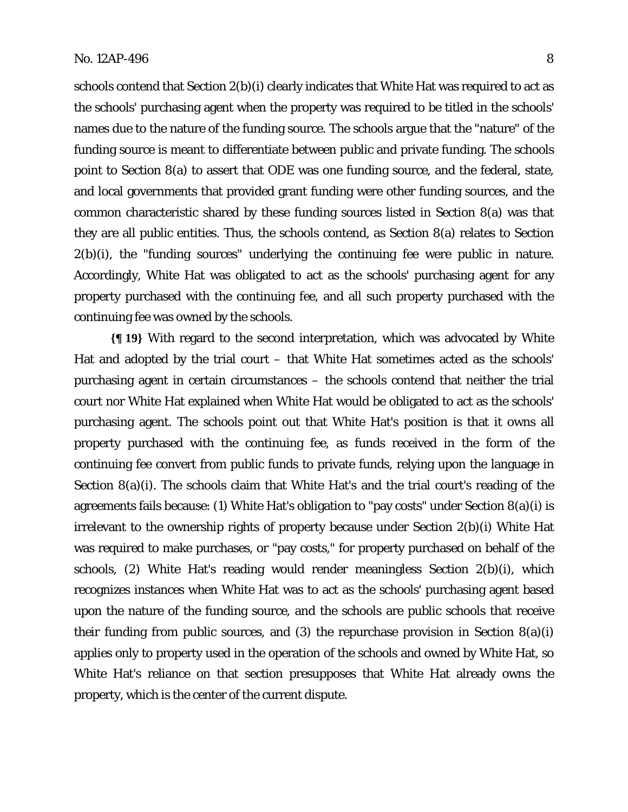schools contend that Section 2(b)(i) clearly indicates that White Hat was required to act as the schools' purchasing agent when the property was required to be titled in the schools' names due to the nature of the funding source. The schools argue that the "nature" of the funding source is meant to differentiate between public and private funding. The schools point to Section 8(a) to assert that ODE was one funding source, and the federal, state, and local governments that provided grant funding were other funding sources, and the common characteristic shared by these funding sources listed in Section 8(a) was that they are all public entities. Thus, the schools contend, as Section 8(a) relates to Section 2(b)(i), the "funding sources" underlying the continuing fee were public in nature. Accordingly, White Hat was obligated to act as the schools' purchasing agent for any property purchased with the continuing fee, and all such property purchased with the continuing fee was owned by the schools.

**{¶ 19}** With regard to the second interpretation, which was advocated by White Hat and adopted by the trial court – that White Hat sometimes acted as the schools' purchasing agent in certain circumstances – the schools contend that neither the trial court nor White Hat explained when White Hat would be obligated to act as the schools' purchasing agent. The schools point out that White Hat's position is that it owns all property purchased with the continuing fee, as funds received in the form of the continuing fee convert from public funds to private funds, relying upon the language in Section 8(a)(i). The schools claim that White Hat's and the trial court's reading of the agreements fails because: (1) White Hat's obligation to "pay costs" under Section 8(a)(i) is irrelevant to the ownership rights of property because under Section 2(b)(i) White Hat was required to make purchases, or "pay costs," for property purchased on behalf of the schools, (2) White Hat's reading would render meaningless Section 2(b)(i), which recognizes instances when White Hat was to act as the schools' purchasing agent based upon the nature of the funding source, and the schools are public schools that receive their funding from public sources, and  $(3)$  the repurchase provision in Section  $8(a)(i)$ applies only to property used in the operation of the schools and owned by White Hat, so White Hat's reliance on that section presupposes that White Hat already owns the property, which is the center of the current dispute.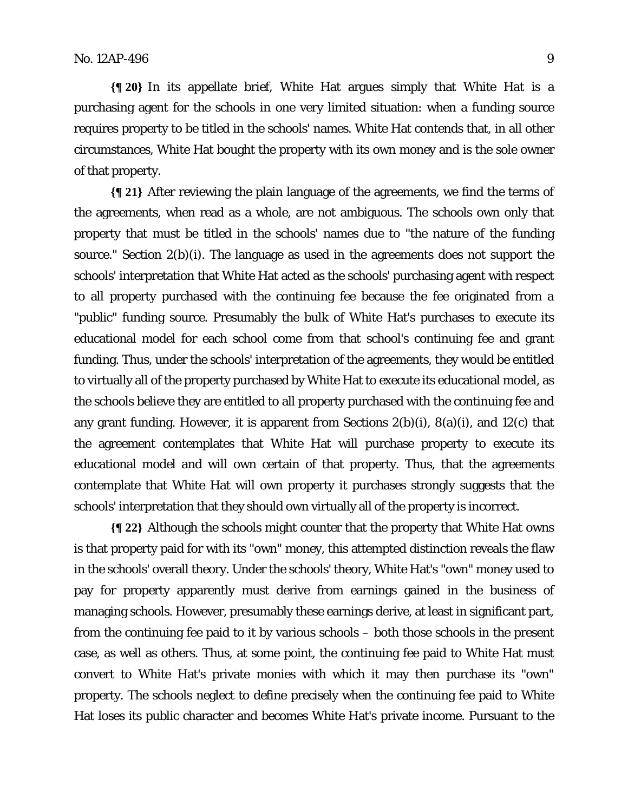**{¶ 20}** In its appellate brief, White Hat argues simply that White Hat is a purchasing agent for the schools in one very limited situation: when a funding source requires property to be titled in the schools' names. White Hat contends that, in all other circumstances, White Hat bought the property with its own money and is the sole owner of that property.

**{¶ 21}** After reviewing the plain language of the agreements, we find the terms of the agreements, when read as a whole, are not ambiguous. The schools own only that property that must be titled in the schools' names due to "the nature of the funding source." Section 2(b)(i). The language as used in the agreements does not support the schools' interpretation that White Hat acted as the schools' purchasing agent with respect to all property purchased with the continuing fee because the fee originated from a "public" funding source. Presumably the bulk of White Hat's purchases to execute its educational model for each school come from that school's continuing fee and grant funding. Thus, under the schools' interpretation of the agreements, they would be entitled to virtually all of the property purchased by White Hat to execute its educational model, as the schools believe they are entitled to all property purchased with the continuing fee and any grant funding. However, it is apparent from Sections 2(b)(i), 8(a)(i), and 12(c) that the agreement contemplates that White Hat will purchase property to execute its educational model and will own certain of that property. Thus, that the agreements contemplate that White Hat will own property it purchases strongly suggests that the schools' interpretation that they should own virtually all of the property is incorrect.

**{¶ 22}** Although the schools might counter that the property that White Hat owns is that property paid for with its "own" money, this attempted distinction reveals the flaw in the schools' overall theory. Under the schools' theory, White Hat's "own" money used to pay for property apparently must derive from earnings gained in the business of managing schools. However, presumably these earnings derive, at least in significant part, from the continuing fee paid to it by various schools – both those schools in the present case, as well as others. Thus, at some point, the continuing fee paid to White Hat must convert to White Hat's private monies with which it may then purchase its "own" property. The schools neglect to define precisely when the continuing fee paid to White Hat loses its public character and becomes White Hat's private income. Pursuant to the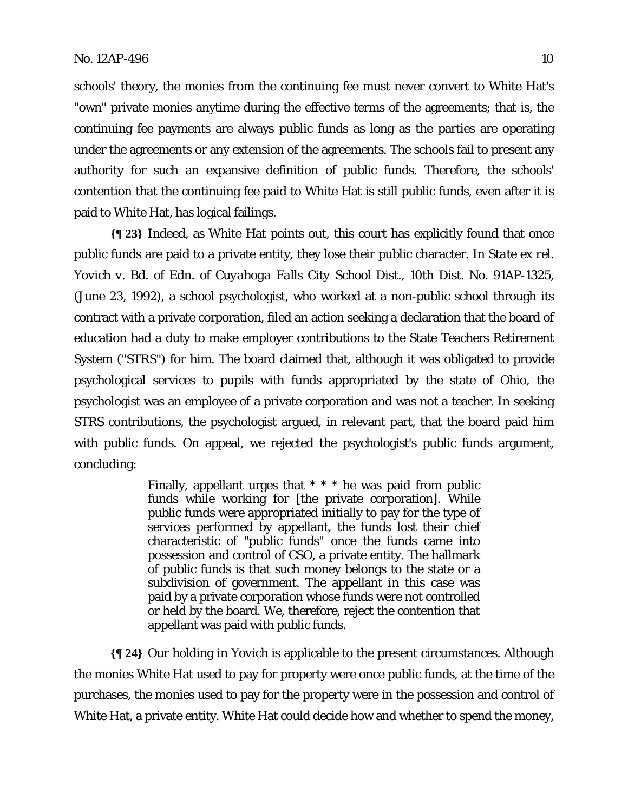schools' theory, the monies from the continuing fee must never convert to White Hat's "own" private monies anytime during the effective terms of the agreements; that is, the continuing fee payments are always public funds as long as the parties are operating under the agreements or any extension of the agreements. The schools fail to present any authority for such an expansive definition of public funds. Therefore, the schools' contention that the continuing fee paid to White Hat is still public funds, even after it is paid to White Hat, has logical failings.

**{¶ 23}** Indeed, as White Hat points out, this court has explicitly found that once public funds are paid to a private entity, they lose their public character. In *State ex rel. Yovich v. Bd. of Edn. of Cuyahoga Falls City School Dist.*, 10th Dist. No. 91AP-1325, (June 23, 1992), a school psychologist, who worked at a non-public school through its contract with a private corporation, filed an action seeking a declaration that the board of education had a duty to make employer contributions to the State Teachers Retirement System ("STRS") for him. The board claimed that, although it was obligated to provide psychological services to pupils with funds appropriated by the state of Ohio, the psychologist was an employee of a private corporation and was not a teacher. In seeking STRS contributions, the psychologist argued, in relevant part, that the board paid him with public funds. On appeal, we rejected the psychologist's public funds argument, concluding:

> Finally, appellant urges that \* \* \* he was paid from public funds while working for [the private corporation]. While public funds were appropriated initially to pay for the type of services performed by appellant, the funds lost their chief characteristic of "public funds" once the funds came into possession and control of CSO, a private entity. The hallmark of public funds is that such money belongs to the state or a subdivision of government. The appellant in this case was paid by a private corporation whose funds were not controlled or held by the board. We, therefore, reject the contention that appellant was paid with public funds.

**{¶ 24}** Our holding in *Yovich* is applicable to the present circumstances. Although the monies White Hat used to pay for property were once public funds, at the time of the purchases, the monies used to pay for the property were in the possession and control of White Hat, a private entity. White Hat could decide how and whether to spend the money,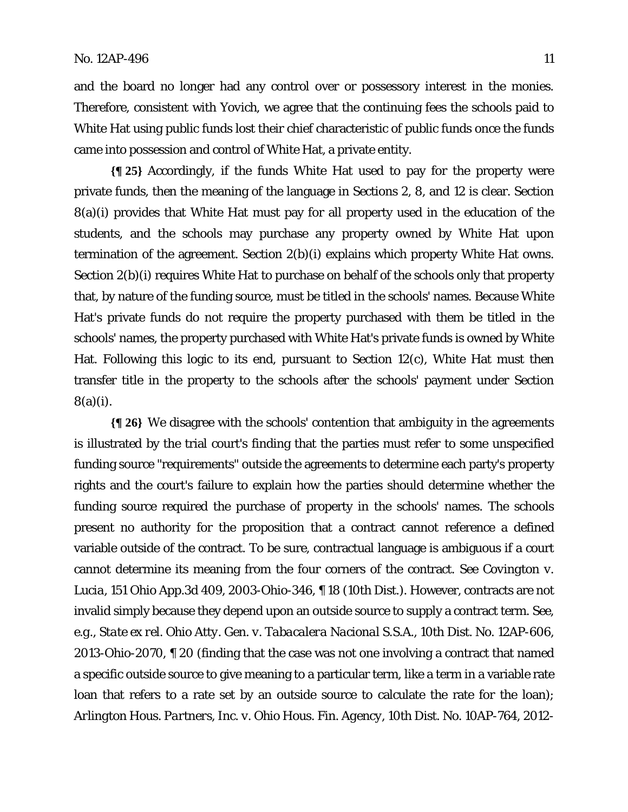and the board no longer had any control over or possessory interest in the monies. Therefore, consistent with *Yovich*, we agree that the continuing fees the schools paid to White Hat using public funds lost their chief characteristic of public funds once the funds came into possession and control of White Hat, a private entity.

**{¶ 25}** Accordingly, if the funds White Hat used to pay for the property were private funds, then the meaning of the language in Sections 2, 8, and 12 is clear. Section 8(a)(i) provides that White Hat must pay for all property used in the education of the students, and the schools may purchase any property owned by White Hat upon termination of the agreement. Section 2(b)(i) explains which property White Hat owns. Section 2(b)(i) requires White Hat to purchase on behalf of the schools only that property that, by nature of the funding source, must be titled in the schools' names. Because White Hat's private funds do not require the property purchased with them be titled in the schools' names, the property purchased with White Hat's private funds is owned by White Hat. Following this logic to its end, pursuant to Section 12(c), White Hat must then transfer title in the property to the schools after the schools' payment under Section 8(a)(i).

**{¶ 26}** We disagree with the schools' contention that ambiguity in the agreements is illustrated by the trial court's finding that the parties must refer to some unspecified funding source "requirements" outside the agreements to determine each party's property rights and the court's failure to explain how the parties should determine whether the funding source required the purchase of property in the schools' names. The schools present no authority for the proposition that a contract cannot reference a defined variable outside of the contract. To be sure, contractual language is ambiguous if a court cannot determine its meaning from the four corners of the contract. *See Covington v. Lucia*, 151 Ohio App.3d 409, 2003-Ohio-346, ¶ 18 (10th Dist.). However, contracts are not invalid simply because they depend upon an outside source to supply a contract term. *See*, *e.g*., *State ex rel. Ohio Atty. Gen. v. Tabacalera Nacional S.S.A.*, 10th Dist. No. 12AP-606, 2013-Ohio-2070, ¶ 20 (finding that the case was not one involving a contract that named a specific outside source to give meaning to a particular term, like a term in a variable rate loan that refers to a rate set by an outside source to calculate the rate for the loan); *Arlington Hous. Partners, Inc. v. Ohio Hous. Fin. Agency*, 10th Dist. No. 10AP-764, 2012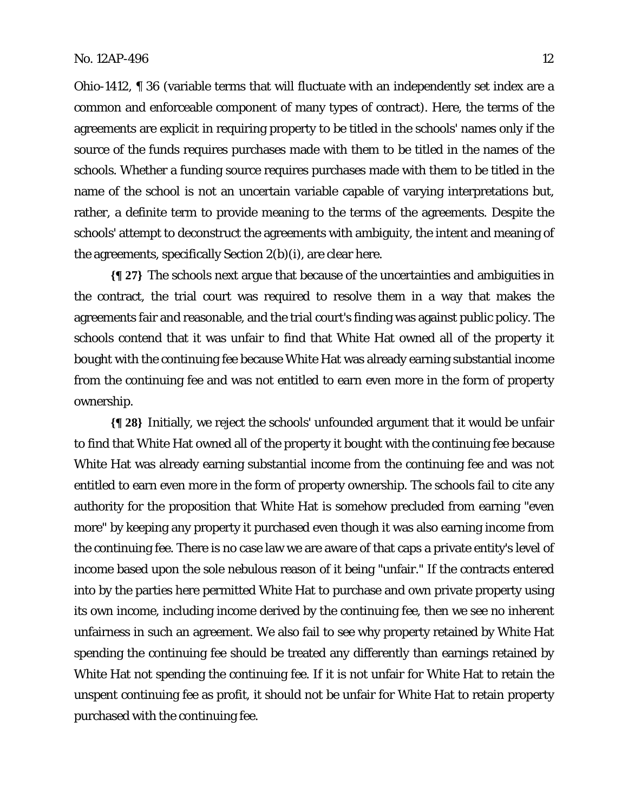Ohio-1412, ¶ 36 (variable terms that will fluctuate with an independently set index are a common and enforceable component of many types of contract). Here, the terms of the agreements are explicit in requiring property to be titled in the schools' names only if the source of the funds requires purchases made with them to be titled in the names of the schools. Whether a funding source requires purchases made with them to be titled in the name of the school is not an uncertain variable capable of varying interpretations but, rather, a definite term to provide meaning to the terms of the agreements. Despite the schools' attempt to deconstruct the agreements with ambiguity, the intent and meaning of the agreements, specifically Section 2(b)(i), are clear here.

**{¶ 27}** The schools next argue that because of the uncertainties and ambiguities in the contract, the trial court was required to resolve them in a way that makes the agreements fair and reasonable, and the trial court's finding was against public policy. The schools contend that it was unfair to find that White Hat owned all of the property it bought with the continuing fee because White Hat was already earning substantial income from the continuing fee and was not entitled to earn even more in the form of property ownership.

**{¶ 28}** Initially, we reject the schools' unfounded argument that it would be unfair to find that White Hat owned all of the property it bought with the continuing fee because White Hat was already earning substantial income from the continuing fee and was not entitled to earn even more in the form of property ownership. The schools fail to cite any authority for the proposition that White Hat is somehow precluded from earning "even more" by keeping any property it purchased even though it was also earning income from the continuing fee. There is no case law we are aware of that caps a private entity's level of income based upon the sole nebulous reason of it being "unfair." If the contracts entered into by the parties here permitted White Hat to purchase and own private property using its own income, including income derived by the continuing fee, then we see no inherent unfairness in such an agreement. We also fail to see why property retained by White Hat spending the continuing fee should be treated any differently than earnings retained by White Hat not spending the continuing fee. If it is not unfair for White Hat to retain the unspent continuing fee as profit, it should not be unfair for White Hat to retain property purchased with the continuing fee.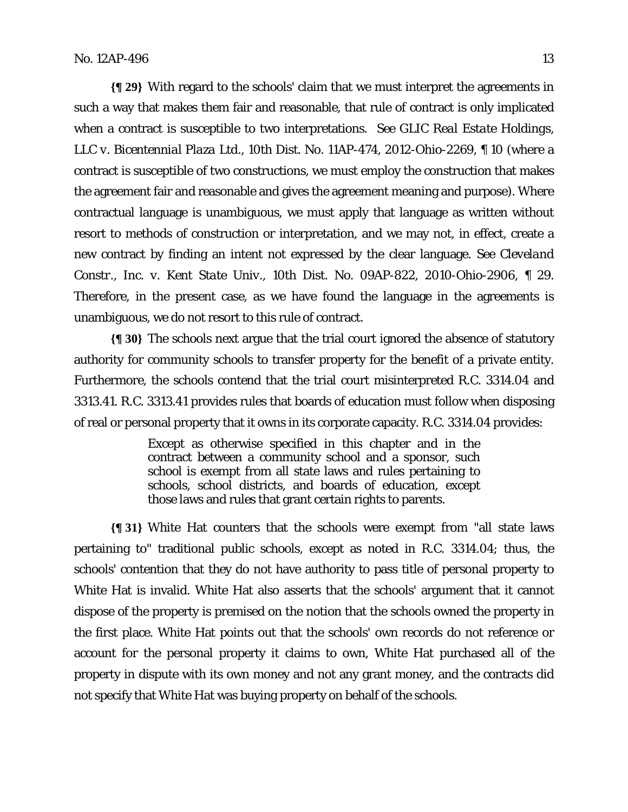**{¶ 29}** With regard to the schools' claim that we must interpret the agreements in such a way that makes them fair and reasonable, that rule of contract is only implicated when a contract is susceptible to two interpretations. *See GLIC Real Estate Holdings, LLC v. Bicentennial Plaza Ltd.*, 10th Dist. No. 11AP-474, 2012-Ohio-2269, ¶ 10 (where a contract is susceptible of two constructions, we must employ the construction that makes the agreement fair and reasonable and gives the agreement meaning and purpose). Where contractual language is unambiguous, we must apply that language as written without resort to methods of construction or interpretation, and we may not, in effect, create a new contract by finding an intent not expressed by the clear language. *See Cleveland Constr., Inc. v. Kent State Univ.*, 10th Dist. No. 09AP-822, 2010-Ohio-2906, ¶ 29. Therefore, in the present case, as we have found the language in the agreements is unambiguous, we do not resort to this rule of contract.

**{¶ 30}** The schools next argue that the trial court ignored the absence of statutory authority for community schools to transfer property for the benefit of a private entity. Furthermore, the schools contend that the trial court misinterpreted R.C. 3314.04 and 3313.41. R.C. 3313.41 provides rules that boards of education must follow when disposing of real or personal property that it owns in its corporate capacity. R.C. 3314.04 provides:

> Except as otherwise specified in this chapter and in the contract between a community school and a sponsor, such school is exempt from all state laws and rules pertaining to schools, school districts, and boards of education, except those laws and rules that grant certain rights to parents.

**{¶ 31}** White Hat counters that the schools were exempt from "all state laws pertaining to" traditional public schools, except as noted in R.C. 3314.04; thus, the schools' contention that they do not have authority to pass title of personal property to White Hat is invalid. White Hat also asserts that the schools' argument that it cannot dispose of the property is premised on the notion that the schools owned the property in the first place. White Hat points out that the schools' own records do not reference or account for the personal property it claims to own, White Hat purchased all of the property in dispute with its own money and not any grant money, and the contracts did not specify that White Hat was buying property on behalf of the schools.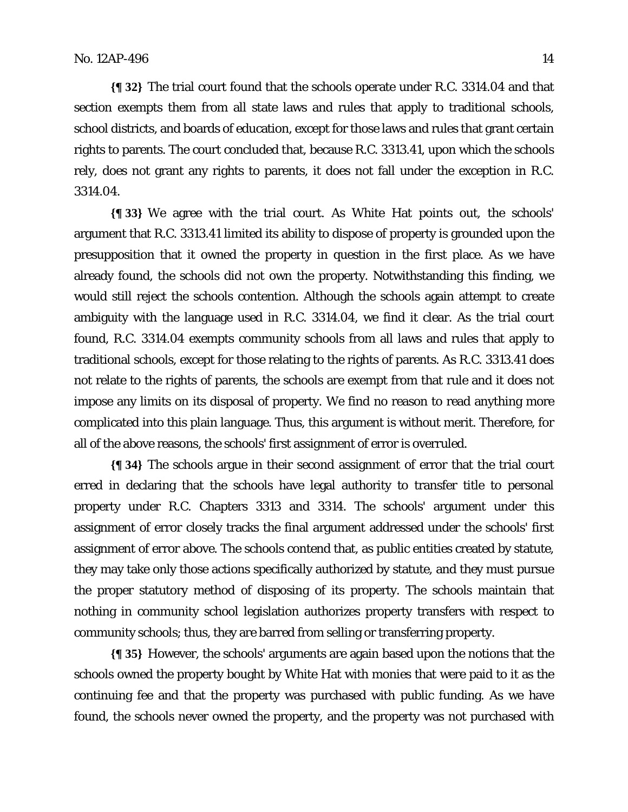**{¶ 32}** The trial court found that the schools operate under R.C. 3314.04 and that section exempts them from all state laws and rules that apply to traditional schools, school districts, and boards of education, except for those laws and rules that grant certain rights to parents. The court concluded that, because R.C. 3313.41, upon which the schools rely, does not grant any rights to parents, it does not fall under the exception in R.C. 3314.04.

**{¶ 33}** We agree with the trial court. As White Hat points out, the schools' argument that R.C. 3313.41 limited its ability to dispose of property is grounded upon the presupposition that it owned the property in question in the first place. As we have already found, the schools did not own the property. Notwithstanding this finding, we would still reject the schools contention. Although the schools again attempt to create ambiguity with the language used in R.C. 3314.04, we find it clear. As the trial court found, R.C. 3314.04 exempts community schools from all laws and rules that apply to traditional schools, except for those relating to the rights of parents. As R.C. 3313.41 does not relate to the rights of parents, the schools are exempt from that rule and it does not impose any limits on its disposal of property. We find no reason to read anything more complicated into this plain language. Thus, this argument is without merit. Therefore, for all of the above reasons, the schools' first assignment of error is overruled.

**{¶ 34}** The schools argue in their second assignment of error that the trial court erred in declaring that the schools have legal authority to transfer title to personal property under R.C. Chapters 3313 and 3314. The schools' argument under this assignment of error closely tracks the final argument addressed under the schools' first assignment of error above. The schools contend that, as public entities created by statute, they may take only those actions specifically authorized by statute, and they must pursue the proper statutory method of disposing of its property. The schools maintain that nothing in community school legislation authorizes property transfers with respect to community schools; thus, they are barred from selling or transferring property.

**{¶ 35}** However, the schools' arguments are again based upon the notions that the schools owned the property bought by White Hat with monies that were paid to it as the continuing fee and that the property was purchased with public funding. As we have found, the schools never owned the property, and the property was not purchased with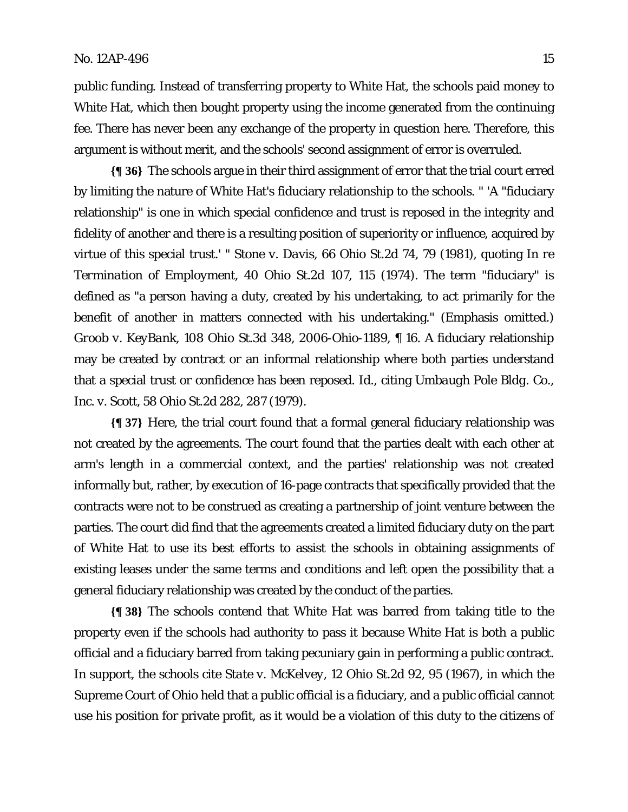public funding. Instead of transferring property to White Hat, the schools paid money to White Hat, which then bought property using the income generated from the continuing fee. There has never been any exchange of the property in question here. Therefore, this argument is without merit, and the schools' second assignment of error is overruled.

**{¶ 36}** The schools argue in their third assignment of error that the trial court erred by limiting the nature of White Hat's fiduciary relationship to the schools. " 'A "fiduciary relationship" is one in which special confidence and trust is reposed in the integrity and fidelity of another and there is a resulting position of superiority or influence, acquired by virtue of this special trust.' " *Stone v. Davis*, 66 Ohio St.2d 74, 79 (1981), quoting *In re Termination of Employment*, 40 Ohio St.2d 107, 115 (1974). The term "fiduciary" is defined as "a person having a duty, created by his undertaking, to act primarily for the benefit of another in matters connected with his undertaking." (Emphasis omitted.) *Groob v. KeyBank*, 108 Ohio St.3d 348, 2006-Ohio-1189, ¶ 16. A fiduciary relationship may be created by contract or an informal relationship where both parties understand that a special trust or confidence has been reposed. *Id*., citing *Umbaugh Pole Bldg. Co., Inc. v. Scott*, 58 Ohio St.2d 282, 287 (1979).

**{¶ 37}** Here, the trial court found that a formal general fiduciary relationship was not created by the agreements. The court found that the parties dealt with each other at arm's length in a commercial context, and the parties' relationship was not created informally but, rather, by execution of 16-page contracts that specifically provided that the contracts were not to be construed as creating a partnership of joint venture between the parties. The court did find that the agreements created a limited fiduciary duty on the part of White Hat to use its best efforts to assist the schools in obtaining assignments of existing leases under the same terms and conditions and left open the possibility that a general fiduciary relationship was created by the conduct of the parties.

**{¶ 38}** The schools contend that White Hat was barred from taking title to the property even if the schools had authority to pass it because White Hat is both a public official and a fiduciary barred from taking pecuniary gain in performing a public contract. In support, the schools cite *State v. McKelvey*, 12 Ohio St.2d 92, 95 (1967), in which the Supreme Court of Ohio held that a public official is a fiduciary, and a public official cannot use his position for private profit, as it would be a violation of this duty to the citizens of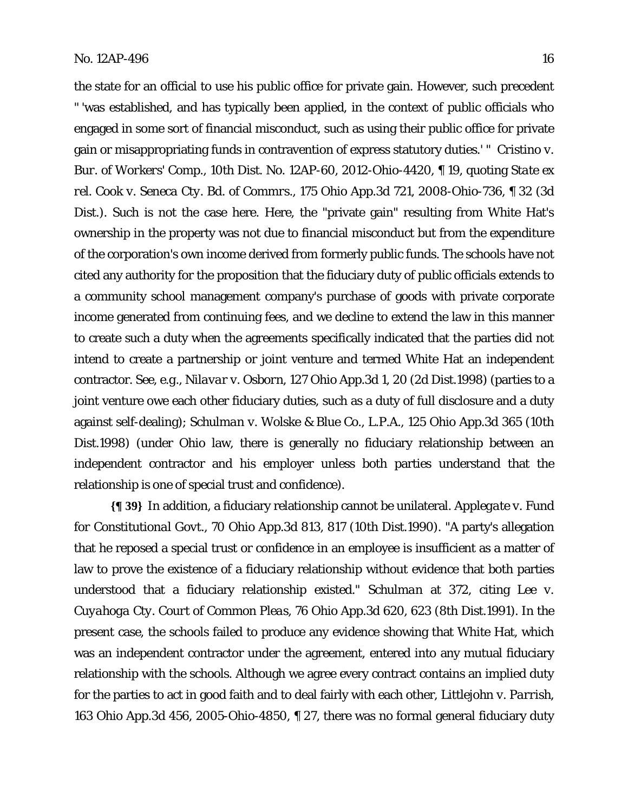the state for an official to use his public office for private gain. However, such precedent " 'was established, and has typically been applied, in the context of public officials who engaged in some sort of financial misconduct, such as using their public office for private gain or misappropriating funds in contravention of express statutory duties.' " *Cristino v. Bur. of Workers' Comp.*, 10th Dist. No. 12AP-60, 2012-Ohio-4420, ¶ 19, quoting *State ex rel. Cook v. Seneca Cty. Bd. of Commrs.*, 175 Ohio App.3d 721, 2008-Ohio-736, ¶ 32 (3d Dist.). Such is not the case here. Here, the "private gain" resulting from White Hat's ownership in the property was not due to financial misconduct but from the expenditure of the corporation's own income derived from formerly public funds. The schools have not cited any authority for the proposition that the fiduciary duty of public officials extends to a community school management company's purchase of goods with private corporate income generated from continuing fees, and we decline to extend the law in this manner to create such a duty when the agreements specifically indicated that the parties did not intend to create a partnership or joint venture and termed White Hat an independent contractor. *See*, *e.g*., *Nilavar v. Osborn*, 127 Ohio App.3d 1, 20 (2d Dist.1998) (parties to a joint venture owe each other fiduciary duties, such as a duty of full disclosure and a duty against self-dealing); *Schulman v. Wolske & Blue Co., L.P.A.*, 125 Ohio App.3d 365 (10th Dist.1998) (under Ohio law, there is generally no fiduciary relationship between an independent contractor and his employer unless both parties understand that the relationship is one of special trust and confidence).

**{¶ 39}** In addition, a fiduciary relationship cannot be unilateral. *Applegate v. Fund for Constitutional Govt.*, 70 Ohio App.3d 813, 817 (10th Dist.1990). "A party's allegation that he reposed a special trust or confidence in an employee is insufficient as a matter of law to prove the existence of a fiduciary relationship without evidence that both parties understood that a fiduciary relationship existed." *Schulman* at 372, citing *Lee v. Cuyahoga Cty. Court of Common Pleas*, 76 Ohio App.3d 620, 623 (8th Dist.1991). In the present case, the schools failed to produce any evidence showing that White Hat, which was an independent contractor under the agreement, entered into any mutual fiduciary relationship with the schools. Although we agree every contract contains an implied duty for the parties to act in good faith and to deal fairly with each other, *Littlejohn v. Parrish*, 163 Ohio App.3d 456, 2005-Ohio-4850, ¶ 27, there was no formal general fiduciary duty